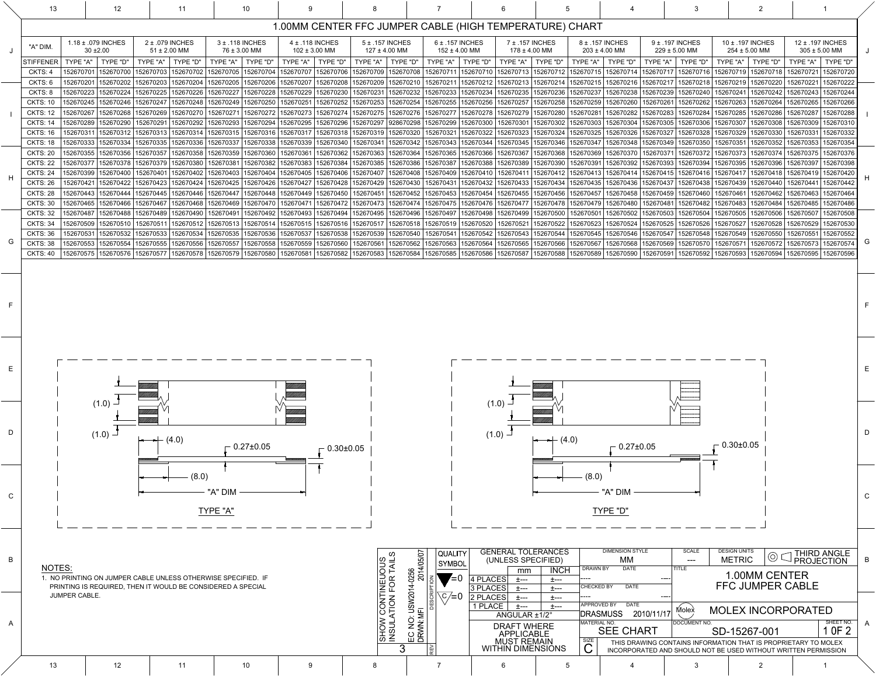| ノーマ                                                                              |                     | ÷                                                              |                                   |                                                                  |            |               |                                                                |   |  |  |  |  |  |
|----------------------------------------------------------------------------------|---------------------|----------------------------------------------------------------|-----------------------------------|------------------------------------------------------------------|------------|---------------|----------------------------------------------------------------|---|--|--|--|--|--|
| СE                                                                               |                     | <b>I----</b>                                                   |                                   | APPROVED BY<br><b>DATE</b><br><b>MOLEX INCORPORATED</b><br>Molex |            |               |                                                                |   |  |  |  |  |  |
|                                                                                  | ANGULAR $\pm 1/2$ ° |                                                                |                                   | <b>IDRASMUSS</b>                                                 | 2010/11/17 |               |                                                                |   |  |  |  |  |  |
| <b>DRAFT WHERE</b><br><b>APPLICABLE</b><br><b>MUST REMAIN</b><br>THIN DIMENSIONS |                     |                                                                | İMATERIAL NO.<br><b>SEE CHART</b> |                                                                  |            | IDOCUMENT NO. | SHEET NO.<br>OF <sub>2</sub>                                   | A |  |  |  |  |  |
|                                                                                  |                     |                                                                |                                   |                                                                  |            |               | SD-15267-001                                                   |   |  |  |  |  |  |
|                                                                                  |                     |                                                                | <b>SIZE</b>                       |                                                                  |            |               | THIS DRAWING CONTAINS INFORMATION THAT IS PROPRIETARY TO MOLEX |   |  |  |  |  |  |
|                                                                                  |                     | INCORPORATED AND SHOULD NOT BE USED WITHOUT WRITTEN PERMISSION |                                   |                                                                  |            |               |                                                                |   |  |  |  |  |  |

|              | 13                                 | 12                                                                                  | 11                                                                                                             | 10 <sup>°</sup>                                                                                                                                                                                                                 |                       |                                                                                                                                                                                                                              |                                                                                                                                                 |                                            |             |                                                                       |                               |                                      |                        |                                      |                                               |                                                  |                                   |                                       |                        |              |
|--------------|------------------------------------|-------------------------------------------------------------------------------------|----------------------------------------------------------------------------------------------------------------|---------------------------------------------------------------------------------------------------------------------------------------------------------------------------------------------------------------------------------|-----------------------|------------------------------------------------------------------------------------------------------------------------------------------------------------------------------------------------------------------------------|-------------------------------------------------------------------------------------------------------------------------------------------------|--------------------------------------------|-------------|-----------------------------------------------------------------------|-------------------------------|--------------------------------------|------------------------|--------------------------------------|-----------------------------------------------|--------------------------------------------------|-----------------------------------|---------------------------------------|------------------------|--------------|
|              |                                    |                                                                                     |                                                                                                                |                                                                                                                                                                                                                                 |                       |                                                                                                                                                                                                                              |                                                                                                                                                 |                                            |             |                                                                       |                               |                                      |                        |                                      |                                               |                                                  |                                   |                                       |                        |              |
|              | "A" DIM.                           | 1.18 ± .079 INCHES<br>$30 \pm 2.00$                                                 | 4 ± .118 INCHES<br>2 ± .079 INCHES<br>3 ± .118 INCHES<br>$51 \pm 2.00$ MM<br>76 ± 3.00 MM<br>$102 \pm 3.00$ MM |                                                                                                                                                                                                                                 |                       |                                                                                                                                                                                                                              | 1.00MM CENTER FFC JUMPER CABLE (HIGH TEMPERATURE) CHART<br>$5 \pm .157$ INCHES<br>$6 \pm .157$ INCHES<br>$127 \pm 4.00$ MM<br>$152 \pm 4.00$ MM |                                            |             | 7 ± .157 INCHES<br>$178 \pm 4.00$ MM                                  |                               | 8 ± .157 INCHES<br>$203 \pm 4.00$ MM |                        | 9 ± .197 INCHES<br>$229 \pm 5.00$ MM |                                               | 10 ± .197 INCHES<br>$254 \pm 5.00$ MM            |                                   | 12 ± .197 INCHES<br>$305 \pm 5.00$ MM |                        |              |
|              | <b>STIFFENER</b>                   | TYPE "D"<br><b>TYPE "A"</b>                                                         | TYPE "A"<br><b>TYPE "D"</b>                                                                                    | TYPE "A"   TYPE "D"                                                                                                                                                                                                             | TYPE "A"              | TYPE "D"<br>TYPE "A"                                                                                                                                                                                                         | TYPE "D"                                                                                                                                        | TYPE "A"   TYPE "D"                        |             | TYPE "A"   TYPE "D"                                                   |                               |                                      | TYPE "A"   TYPE "D"    | TYPE "A" $\mid$                      | TYPE "D"                                      | TYPE "A"   TYPE "D"                              |                                   | TYPE "A"                              | "TYPE "D               |              |
|              | CKTS: 4                            | 152670701   152670700                                                               | 152670703   152670702                                                                                          | 152670705   152670704                                                                                                                                                                                                           | 152670707   152670706 |                                                                                                                                                                                                                              | 152670709   152670708                                                                                                                           |                                            |             | 152670711   152670710   152670713   152670712   152670715   152670714 |                               |                                      |                        |                                      | 152670717   152670716   152670719   152670718 |                                                  |                                   | 152670721                             | 152670720              |              |
|              | CKTS: 6                            | 152670201   152670202                                                               | 152670203<br>152670204                                                                                         | 152670205<br>152670206                                                                                                                                                                                                          |                       | 152670207   152670208   152670209   152670210   152670211   152670212   152670213   152670214   152670215   152670216                                                                                                        |                                                                                                                                                 |                                            |             |                                                                       |                               |                                      |                        |                                      | 152670217   152670218   152670219   152670220 |                                                  |                                   | 152670221                             | 152670222              |              |
|              | CKTS: 8                            | 152670223   152670224                                                               | 152670225<br>152670226                                                                                         | 152670227<br>152670228                                                                                                                                                                                                          | 152670229             | 152670230                                                                                                                                                                                                                    | 152670231   152670232   152670233   152670234   152670235   152670236   152670237                                                               |                                            |             |                                                                       |                               |                                      | 152670238              | 152670239   152670240                |                                               |                                                  | 152670241   152670242   152670243 |                                       | 152670244              |              |
|              | <b>CKTS: 10</b>                    | 152670245   152670246                                                               | 152670247<br>152670248                                                                                         | 152670249<br>152670250                                                                                                                                                                                                          |                       | 152670251   152670252   152670253   152670254   152670255   152670256   152670257   152670258   152670259   152670260                                                                                                        |                                                                                                                                                 |                                            |             |                                                                       |                               |                                      |                        |                                      | 152670261   152670262   152670263   152670264 |                                                  |                                   | 152670265                             | 152670266              |              |
|              | <b>CKTS: 12</b>                    | 152670267<br>152670268                                                              | 152670269<br>5267027                                                                                           | 15267027<br>152670272   152670273                                                                                                                                                                                               |                       | 152670274  152670275  152670276  152670277  152670278  152670279  152670280  152670281                                                                                                                                       |                                                                                                                                                 |                                            |             |                                                                       |                               |                                      | 152670282              | 152670283                            | 152670284                                     | 152670285   152670286                            |                                   | 152670287                             | 152670288              |              |
|              | <b>CKTS: 14</b><br><b>CKTS: 16</b> | 152670289  <br>152670290<br>152670311<br>152670312                                  | 15267029<br>152670292<br>152670313<br>152670314                                                                | 152670293<br>152670294<br>152670315<br>152670316                                                                                                                                                                                |                       | 152670295  152670296  152670297  928670298  152670299  152670300  152670301  152670302  152670303  <br>152670317   152670318   152670319   152670320   152670321   152670322   152670323   152670324   152670325   152670326 |                                                                                                                                                 |                                            |             |                                                                       |                               |                                      | 152670304              | 152670305<br>152670327               | 152670306<br>152670328                        | 152670307   152670308<br>  152670329   152670330 |                                   | 152670309<br>152670331                | 152670310<br>152670332 |              |
|              | <b>CKTS: 18</b>                    | 152670333   152670334                                                               | 152670335<br>152670336                                                                                         | 152670337<br>152670338                                                                                                                                                                                                          | 152670339   152670340 |                                                                                                                                                                                                                              | 152670341 152670342 152670343 152670344 152670345 152670346 152670347 152670348 152670349 152670350 152670351 152670352 152670353               |                                            |             |                                                                       |                               |                                      |                        |                                      |                                               |                                                  |                                   |                                       | 152670354              |              |
|              | <b>CKTS: 20</b>                    | 152670355  <br>152670356                                                            | 152670357<br>152670358                                                                                         | 152670359<br>152670360                                                                                                                                                                                                          | 152670361             | 152670362   152670363                                                                                                                                                                                                        |                                                                                                                                                 | 152670364  152670365  152670366  152670367 |             |                                                                       |                               | 152670368   152670369                | 152670370              | 152670371                            | 152670372   152670373   152670374             |                                                  |                                   | 152670375                             | 152670376              |              |
|              | <b>CKTS: 22</b>                    | 152670377   152670378                                                               | 152670379<br>152670380                                                                                         | 152670381                                                                                                                                                                                                                       |                       | 152670382  152670383  152670384  152670385  152670386  152670387  152670388  152670389  152670390  152670391  152670392  152670393  152670394  152670395  152670396                                                          |                                                                                                                                                 |                                            |             |                                                                       |                               |                                      |                        |                                      |                                               |                                                  |                                   | 152670397                             | 152670398              |              |
|              | <b>CKTS: 24</b>                    | 152670399   152670400                                                               | 152670401<br>152670402                                                                                         | 152670403                                                                                                                                                                                                                       |                       | 152670404   152670405   152670406   152670407   152670408   152670409   152670410   152670411   152670412   152670413   152670414   152670415   152670416   152670417   152670418   152670419                                |                                                                                                                                                 |                                            |             |                                                                       |                               |                                      |                        |                                      |                                               |                                                  |                                   |                                       | 152670420              |              |
|              | <b>CKTS: 26</b>                    | 152670421   152670422   152670423                                                   |                                                                                                                | 152670424  152670425  152670426  152670427  152670428  152670429  152670430  152670431  152670432  152670433  152670434  152670435  152670436  152670437  152670438  152670439  152670440  152670441                            |                       |                                                                                                                                                                                                                              |                                                                                                                                                 |                                            |             |                                                                       |                               |                                      |                        |                                      |                                               |                                                  |                                   |                                       | 152670442              |              |
|              | <b>CKTS: 28</b>                    | 152670443   152670444                                                               | 152670445<br>152670446                                                                                         | 152670447                                                                                                                                                                                                                       |                       | 152670448  152670449  152670450   152670451  152670452  152670453  152670454  152670455  152670456  152670457  152670458  152670459  152670460  152670461  152670462  152670463                                              |                                                                                                                                                 |                                            |             |                                                                       |                               |                                      |                        |                                      |                                               |                                                  |                                   |                                       | 152670464              |              |
|              | <b>CKTS: 30</b>                    | 152670465   152670466   152670467                                                   | 152670468                                                                                                      | 152670469   152670470                                                                                                                                                                                                           |                       | 152670471 152670472 152670473 152670474 152670475 152670476 152670477 152670478 152670479 152670480 152670481 152670482 152670483 152670484 152670485 152670486                                                              |                                                                                                                                                 |                                            |             |                                                                       |                               |                                      |                        |                                      |                                               |                                                  |                                   |                                       |                        |              |
|              | <b>CKTS: 32</b>                    | 152670487   152670488                                                               | 152670489<br>152670490                                                                                         | 152670491                                                                                                                                                                                                                       |                       | 152670492 152670493 152670494 152670495 152670496 152670497 152670498 152670499 152670500 152670501 152670502 152670503 152670504 152670504 152670505 152670505                                                              |                                                                                                                                                 |                                            |             |                                                                       |                               |                                      |                        |                                      |                                               |                                                  |                                   | 152670507                             | 152670508              |              |
|              | <b>CKTS: 34</b>                    |                                                                                     |                                                                                                                | 152670509   152670510   152670511   152670512   152670513   152670514   152670515   152670515   152670516   152670517   152670518   152670518   152670520   152670522   152670523   152670524   152670525   152670526   1526705 |                       |                                                                                                                                                                                                                              |                                                                                                                                                 |                                            |             |                                                                       |                               |                                      |                        |                                      |                                               |                                                  |                                   |                                       |                        |              |
|              | CKTS: 36                           |                                                                                     |                                                                                                                | 152670531   152670532   152670533   152670534   152670535   152670536   152670537   152670538   152670538   152670539   152670540   152670541   152670542   152670544   152670545   152670546   152670547   152670548   1526705 |                       |                                                                                                                                                                                                                              |                                                                                                                                                 |                                            |             |                                                                       |                               |                                      |                        |                                      |                                               |                                                  |                                   |                                       |                        |              |
| G            | <b>CKTS: 38</b>                    |                                                                                     |                                                                                                                | 152670553  152670554  152670555  152670556  152670557  152670558  152670559  152670560  152670561  152670562  152670563  152670564  152670565  152670566  152670568  152670568  152670569  152670570  152670571  152670572  15  |                       |                                                                                                                                                                                                                              |                                                                                                                                                 |                                            |             |                                                                       |                               |                                      |                        |                                      |                                               |                                                  |                                   |                                       |                        | $\mathsf{G}$ |
|              |                                    |                                                                                     |                                                                                                                | CKTS: 40  152670575  152670576  152670577  152670577  152670578  152670579  152670580  152670581  152670582  152670583  152670584  152670585  152670586  152670588  152670588  152670589  152670590  152670591  152670592  15   |                       |                                                                                                                                                                                                                              |                                                                                                                                                 |                                            |             |                                                                       |                               |                                      |                        |                                      |                                               |                                                  |                                   |                                       |                        |              |
|              |                                    |                                                                                     |                                                                                                                |                                                                                                                                                                                                                                 |                       |                                                                                                                                                                                                                              |                                                                                                                                                 |                                            |             |                                                                       |                               |                                      |                        |                                      |                                               |                                                  |                                   |                                       |                        |              |
|              |                                    |                                                                                     |                                                                                                                |                                                                                                                                                                                                                                 |                       |                                                                                                                                                                                                                              |                                                                                                                                                 |                                            |             |                                                                       |                               |                                      |                        |                                      |                                               |                                                  |                                   |                                       |                        |              |
|              |                                    |                                                                                     |                                                                                                                |                                                                                                                                                                                                                                 |                       |                                                                                                                                                                                                                              |                                                                                                                                                 |                                            |             |                                                                       |                               |                                      |                        |                                      |                                               |                                                  |                                   |                                       |                        |              |
|              |                                    |                                                                                     |                                                                                                                |                                                                                                                                                                                                                                 |                       |                                                                                                                                                                                                                              |                                                                                                                                                 |                                            |             |                                                                       |                               |                                      |                        |                                      |                                               |                                                  |                                   |                                       |                        |              |
|              |                                    |                                                                                     |                                                                                                                |                                                                                                                                                                                                                                 |                       |                                                                                                                                                                                                                              |                                                                                                                                                 |                                            |             |                                                                       |                               |                                      |                        |                                      |                                               |                                                  |                                   |                                       |                        |              |
|              |                                    | $(1.0)$ $-$                                                                         |                                                                                                                |                                                                                                                                                                                                                                 |                       |                                                                                                                                                                                                                              |                                                                                                                                                 |                                            |             | $(1.0) -$                                                             |                               |                                      |                        |                                      |                                               |                                                  |                                   |                                       |                        |              |
|              |                                    |                                                                                     |                                                                                                                |                                                                                                                                                                                                                                 |                       |                                                                                                                                                                                                                              |                                                                                                                                                 |                                            |             |                                                                       |                               |                                      |                        |                                      |                                               |                                                  |                                   |                                       |                        |              |
| D            |                                    |                                                                                     |                                                                                                                |                                                                                                                                                                                                                                 |                       |                                                                                                                                                                                                                              |                                                                                                                                                 |                                            |             |                                                                       |                               |                                      |                        |                                      |                                               |                                                  |                                   |                                       |                        | D            |
|              |                                    | $(1.0)$ $\Box$                                                                      | $\leftarrow$ (4.0)                                                                                             |                                                                                                                                                                                                                                 |                       |                                                                                                                                                                                                                              |                                                                                                                                                 |                                            |             | $(1.0)$ $-$                                                           | $\leftarrow \leftarrow (4.0)$ |                                      |                        |                                      |                                               |                                                  |                                   |                                       |                        |              |
|              |                                    |                                                                                     |                                                                                                                | $\overline{\phantom{0}}$ 0.27±0.05                                                                                                                                                                                              |                       | $-0.30 \pm 0.05$                                                                                                                                                                                                             |                                                                                                                                                 |                                            |             |                                                                       |                               |                                      | $\sqrt{0.27}$ ±0.05    |                                      |                                               | $-0.30+0.05$                                     |                                   |                                       |                        |              |
|              |                                    |                                                                                     |                                                                                                                |                                                                                                                                                                                                                                 |                       |                                                                                                                                                                                                                              |                                                                                                                                                 |                                            |             |                                                                       |                               |                                      |                        |                                      |                                               |                                                  |                                   |                                       |                        |              |
|              |                                    |                                                                                     |                                                                                                                |                                                                                                                                                                                                                                 |                       |                                                                                                                                                                                                                              |                                                                                                                                                 |                                            |             |                                                                       |                               |                                      |                        |                                      |                                               |                                                  |                                   |                                       |                        |              |
|              |                                    |                                                                                     | (8.0)                                                                                                          |                                                                                                                                                                                                                                 |                       |                                                                                                                                                                                                                              |                                                                                                                                                 |                                            |             |                                                                       |                               | $(0.8)$ –                            |                        |                                      |                                               |                                                  |                                   |                                       |                        |              |
| $\mathsf{C}$ |                                    |                                                                                     |                                                                                                                | "A" DIM                                                                                                                                                                                                                         |                       |                                                                                                                                                                                                                              |                                                                                                                                                 |                                            |             |                                                                       |                               |                                      | "A" DIM                |                                      |                                               |                                                  |                                   |                                       |                        | $\mathsf{C}$ |
|              |                                    |                                                                                     |                                                                                                                |                                                                                                                                                                                                                                 |                       |                                                                                                                                                                                                                              |                                                                                                                                                 |                                            |             |                                                                       |                               |                                      |                        |                                      |                                               |                                                  |                                   |                                       |                        |              |
|              |                                    |                                                                                     |                                                                                                                | TYPE "A"                                                                                                                                                                                                                        |                       |                                                                                                                                                                                                                              |                                                                                                                                                 |                                            |             |                                                                       |                               |                                      | TYPE "D"               |                                      |                                               |                                                  |                                   |                                       |                        |              |
|              |                                    |                                                                                     |                                                                                                                |                                                                                                                                                                                                                                 |                       |                                                                                                                                                                                                                              |                                                                                                                                                 |                                            |             |                                                                       |                               |                                      |                        |                                      |                                               |                                                  |                                   |                                       |                        |              |
|              |                                    |                                                                                     |                                                                                                                |                                                                                                                                                                                                                                 |                       |                                                                                                                                                                                                                              |                                                                                                                                                 |                                            |             |                                                                       |                               |                                      |                        |                                      |                                               |                                                  |                                   |                                       |                        |              |
|              |                                    |                                                                                     |                                                                                                                |                                                                                                                                                                                                                                 |                       |                                                                                                                                                                                                                              |                                                                                                                                                 |                                            |             | <b>GENERAL TOLERANCES</b>                                             |                               |                                      | <b>DIMENSION STYLE</b> |                                      | <b>SCALE</b>                                  | <b>DESIGN UNITS</b>                              |                                   |                                       |                        |              |
| $\mathsf B$  |                                    |                                                                                     |                                                                                                                |                                                                                                                                                                                                                                 |                       |                                                                                                                                                                                                                              |                                                                                                                                                 | QUALITY <br>SYMBOL                         |             | (UNLESS SPECIFIED)                                                    |                               |                                      | МM                     |                                      | ---                                           | <b>METRIC</b>                                    | $\circledcirc$                    | $\bigcirc$ THIRD ANGLE<br>PROJECTION  |                        | B            |
|              | <b>NOTES:</b>                      |                                                                                     |                                                                                                                | $\left  \frac{1.0256}{2014/05/07} \right $<br>CONTINEUOUS<br>ATION FOR TAILS<br><b>DRAWN BY</b><br><b>DATE</b><br><b>TITLE</b><br><b>INCH</b><br>mm<br>1.00MM CENTER                                                            |                       |                                                                                                                                                                                                                              |                                                                                                                                                 |                                            |             |                                                                       |                               |                                      |                        |                                      |                                               |                                                  |                                   |                                       |                        |              |
|              |                                    | . NO PRINTING ON JUMPER CABLE UNLESS OTHERWISE SPECIFIED. IF                        |                                                                                                                |                                                                                                                                                                                                                                 |                       |                                                                                                                                                                                                                              |                                                                                                                                                 | $\blacktriangledown = 0$                   | 4 PLACES    | 土---                                                                  | 土---                          |                                      |                        |                                      |                                               |                                                  |                                   |                                       |                        |              |
|              |                                    | PRINTING IS REQUIRED, THEN IT WOULD BE CONSIDERED A SPECIAL<br><b>JUMPER CABLE.</b> |                                                                                                                |                                                                                                                                                                                                                                 |                       |                                                                                                                                                                                                                              |                                                                                                                                                 | $C/\equiv 0$                               | 3 PLACES    | 土---                                                                  | 士---                          | <b>CHECKED BY</b>                    | <b>DATE</b>            | ----                                 |                                               |                                                  | FFC JUMPER CABLE                  |                                       |                        |              |
|              |                                    |                                                                                     |                                                                                                                |                                                                                                                                                                                                                                 |                       |                                                                                                                                                                                                                              |                                                                                                                                                 |                                            | 2 PLACES    | 士---                                                                  | 土---                          | APPROVED BY                          | <b>DATE</b>            |                                      |                                               |                                                  |                                   |                                       |                        |              |
|              |                                    |                                                                                     |                                                                                                                |                                                                                                                                                                                                                                 |                       |                                                                                                                                                                                                                              | : USW201 <sup>,</sup><br>MFI                                                                                                                    |                                            | 1 PLACE $ $ | 土---<br>ANGULAR ±1/2°                                                 | 土---                          |                                      | <b>DRASMUSS</b>        | 2010/11/17                           | Molex                                         |                                                  | <b>MOLEX INCORPORATED</b>         |                                       |                        |              |